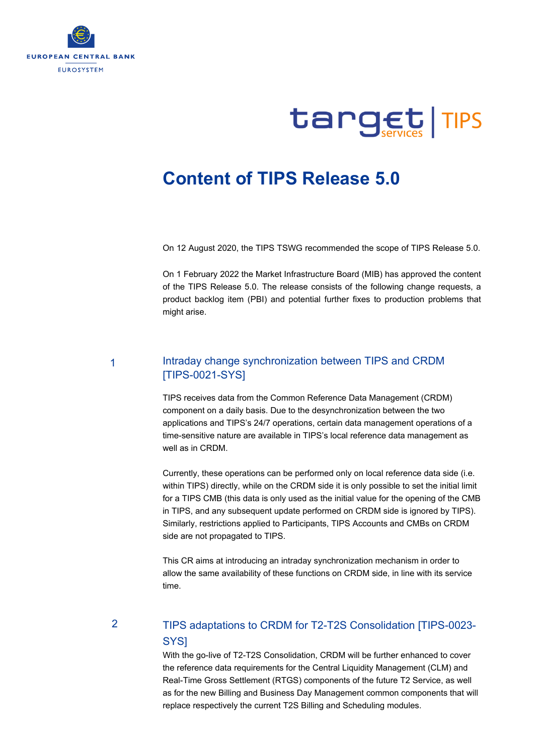



## **Content of TIPS Release 5.0**

On 12 August 2020, the TIPS TSWG recommended the scope of TIPS Release 5.0.

On 1 February 2022 the Market Infrastructure Board (MIB) has approved the content of the TIPS Release 5.0. The release consists of the following change requests, a product backlog item (PBI) and potential further fixes to production problems that might arise.

1

### Intraday change synchronization between TIPS and CRDM [TIPS-0021-SYS]

TIPS receives data from the Common Reference Data Management (CRDM) component on a daily basis. Due to the desynchronization between the two applications and TIPS's 24/7 operations, certain data management operations of a time-sensitive nature are available in TIPS's local reference data management as well as in CRDM.

Currently, these operations can be performed only on local reference data side (i.e. within TIPS) directly, while on the CRDM side it is only possible to set the initial limit for a TIPS CMB (this data is only used as the initial value for the opening of the CMB in TIPS, and any subsequent update performed on CRDM side is ignored by TIPS). Similarly, restrictions applied to Participants, TIPS Accounts and CMBs on CRDM side are not propagated to TIPS.

This CR aims at introducing an intraday synchronization mechanism in order to allow the same availability of these functions on CRDM side, in line with its service time.

 $\mathfrak{p}$ 

## TIPS adaptations to CRDM for T2-T2S Consolidation [TIPS-0023- SYS]

With the go-live of T2-T2S Consolidation, CRDM will be further enhanced to cover the reference data requirements for the Central Liquidity Management (CLM) and Real-Time Gross Settlement (RTGS) components of the future T2 Service, as well as for the new Billing and Business Day Management common components that will replace respectively the current T2S Billing and Scheduling modules.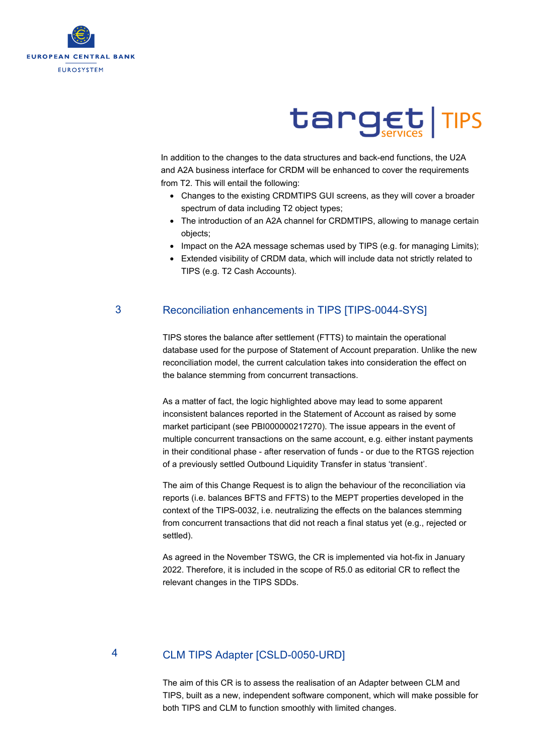

# target TIPS

In addition to the changes to the data structures and back-end functions, the U2A and A2A business interface for CRDM will be enhanced to cover the requirements from T2. This will entail the following:

- Changes to the existing CRDMTIPS GUI screens, as they will cover a broader spectrum of data including T2 object types;
- The introduction of an A2A channel for CRDMTIPS, allowing to manage certain objects;
- Impact on the A2A message schemas used by TIPS (e.g. for managing Limits);
- Extended visibility of CRDM data, which will include data not strictly related to TIPS (e.g. T2 Cash Accounts).

#### 3 Reconciliation enhancements in TIPS [TIPS-0044-SYS]

TIPS stores the balance after settlement (FTTS) to maintain the operational database used for the purpose of Statement of Account preparation. Unlike the new reconciliation model, the current calculation takes into consideration the effect on the balance stemming from concurrent transactions.

As a matter of fact, the logic highlighted above may lead to some apparent inconsistent balances reported in the Statement of Account as raised by some market participant (see PBI000000217270). The issue appears in the event of multiple concurrent transactions on the same account, e.g. either instant payments in their conditional phase - after reservation of funds - or due to the RTGS rejection of a previously settled Outbound Liquidity Transfer in status 'transient'.

The aim of this Change Request is to align the behaviour of the reconciliation via reports (i.e. balances BFTS and FFTS) to the MEPT properties developed in the context of the TIPS-0032, i.e. neutralizing the effects on the balances stemming from concurrent transactions that did not reach a final status yet (e.g., rejected or settled).

As agreed in the November TSWG, the CR is implemented via hot-fix in January 2022. Therefore, it is included in the scope of R5.0 as editorial CR to reflect the relevant changes in the TIPS SDDs.

#### CLM TIPS Adapter [CSLD-0050-URD] 4

The aim of this CR is to assess the realisation of an Adapter between CLM and TIPS, built as a new, independent software component, which will make possible for both TIPS and CLM to function smoothly with limited changes.